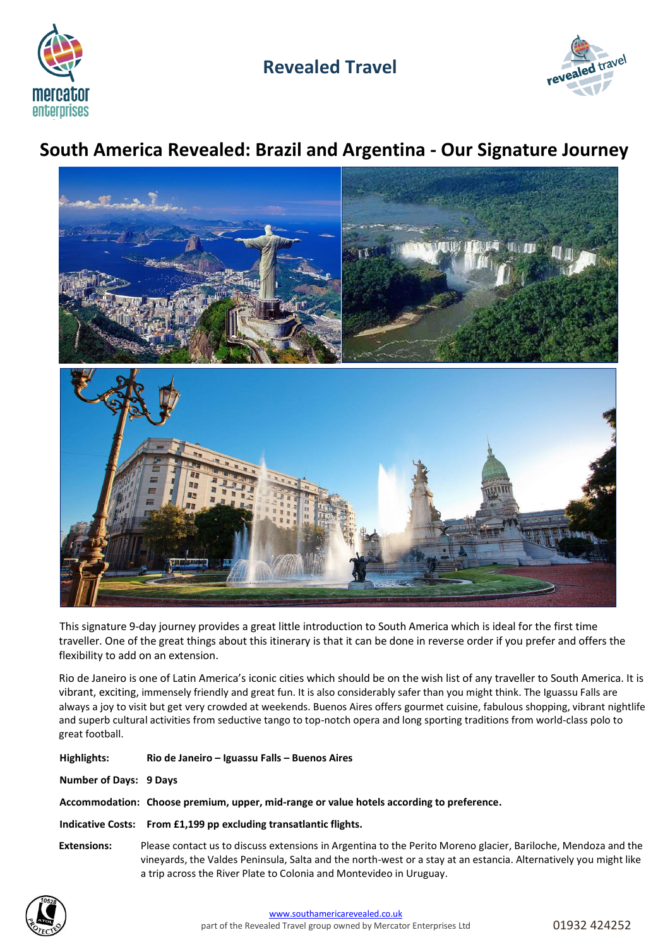

# **Revealed Travel**



# **South America Revealed: Brazil and Argentina - Our Signature Journey**



This signature 9-day journey provides a great little introduction to South America which is ideal for the first time traveller. One of the great things about this itinerary is that it can be done in reverse order if you prefer and offers the flexibility to add on an extension.

Rio de Janeiro is one of Latin America's iconic cities which should be on the wish list of any traveller to South America. It is vibrant, exciting, immensely friendly and great fun. It is also considerably safer than you might think. The Iguassu Falls are always a joy to visit but get very crowded at weekends. Buenos Aires offers gourmet cuisine, fabulous shopping, vibrant nightlife and superb cultural activities from seductive tango to top-notch opera and long sporting traditions from world-class polo to great football.

| Highlights:                                                                              | Rio de Janeiro – Iguassu Falls – Buenos Aires                                                                                                                                                                                                                                                            |  |  |
|------------------------------------------------------------------------------------------|----------------------------------------------------------------------------------------------------------------------------------------------------------------------------------------------------------------------------------------------------------------------------------------------------------|--|--|
| Number of Days: 9 Days                                                                   |                                                                                                                                                                                                                                                                                                          |  |  |
| Accommodation: Choose premium, upper, mid-range or value hotels according to preference. |                                                                                                                                                                                                                                                                                                          |  |  |
|                                                                                          | Indicative Costs: From £1,199 pp excluding transatlantic flights.                                                                                                                                                                                                                                        |  |  |
| <b>Extensions:</b>                                                                       | Please contact us to discuss extensions in Argentina to the Perito Moreno glacier, Bariloche, Mendoza and the<br>vineyards, the Valdes Peninsula, Salta and the north-west or a stay at an estancia. Alternatively you might like<br>a trip across the River Plate to Colonia and Montevideo in Uruguay. |  |  |

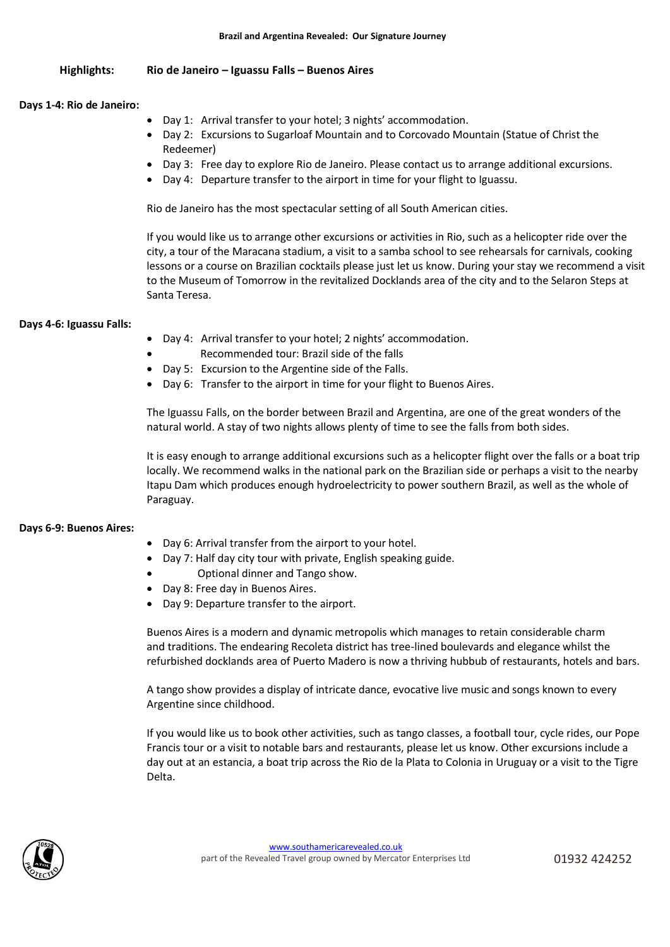# **Highlights: Rio de Janeiro – Iguassu Falls – Buenos Aires**

## **Days 1-4: Rio de Janeiro:**

- Day 1: Arrival transfer to your hotel; 3 nights' accommodation.
- Day 2: Excursions to Sugarloaf Mountain and to Corcovado Mountain (Statue of Christ the Redeemer)
- Day 3: Free day to explore Rio de Janeiro. Please contact us to arrange additional excursions.
- Day 4: Departure transfer to the airport in time for your flight to Iguassu.

Rio de Janeiro has the most spectacular setting of all South American cities.

If you would like us to arrange other excursions or activities in Rio, such as a helicopter ride over the city, a tour of the Maracana stadium, a visit to a samba school to see rehearsals for carnivals, cooking lessons or a course on Brazilian cocktails please just let us know. During your stay we recommend a visit to the Museum of Tomorrow in the revitalized Docklands area of the city and to the Selaron Steps at Santa Teresa.

# **Days 4-6: Iguassu Falls:**

- Day 4: Arrival transfer to your hotel; 2 nights' accommodation.
- Recommended tour: Brazil side of the falls
- Day 5: Excursion to the Argentine side of the Falls.
- Day 6: Transfer to the airport in time for your flight to Buenos Aires.

The Iguassu Falls, on the border between Brazil and Argentina, are one of the great wonders of the natural world. A stay of two nights allows plenty of time to see the falls from both sides.

It is easy enough to arrange additional excursions such as a helicopter flight over the falls or a boat trip locally. We recommend walks in the national park on the Brazilian side or perhaps a visit to the nearby Itapu Dam which produces enough hydroelectricity to power southern Brazil, as well as the whole of Paraguay.

# **Days 6-9: Buenos Aires:**

- Day 6: Arrival transfer from the airport to your hotel.
- Day 7: Half day city tour with private, English speaking guide.
- Optional dinner and Tango show.
- Day 8: Free day in Buenos Aires.
- Day 9: Departure transfer to the airport.

Buenos Aires is a modern and dynamic metropolis which manages to retain considerable charm and traditions. The endearing Recoleta district has tree-lined boulevards and elegance whilst the refurbished docklands area of Puerto Madero is now a thriving hubbub of restaurants, hotels and bars.

A tango show provides a display of intricate dance, evocative live music and songs known to every Argentine since childhood.

If you would like us to book other activities, such as tango classes, a football tour, cycle rides, our Pope Francis tour or a visit to notable bars and restaurants, please let us know. Other excursions include a day out at an estancia, a boat trip across the Rio de la Plata to Colonia in Uruguay or a visit to the Tigre Delta.